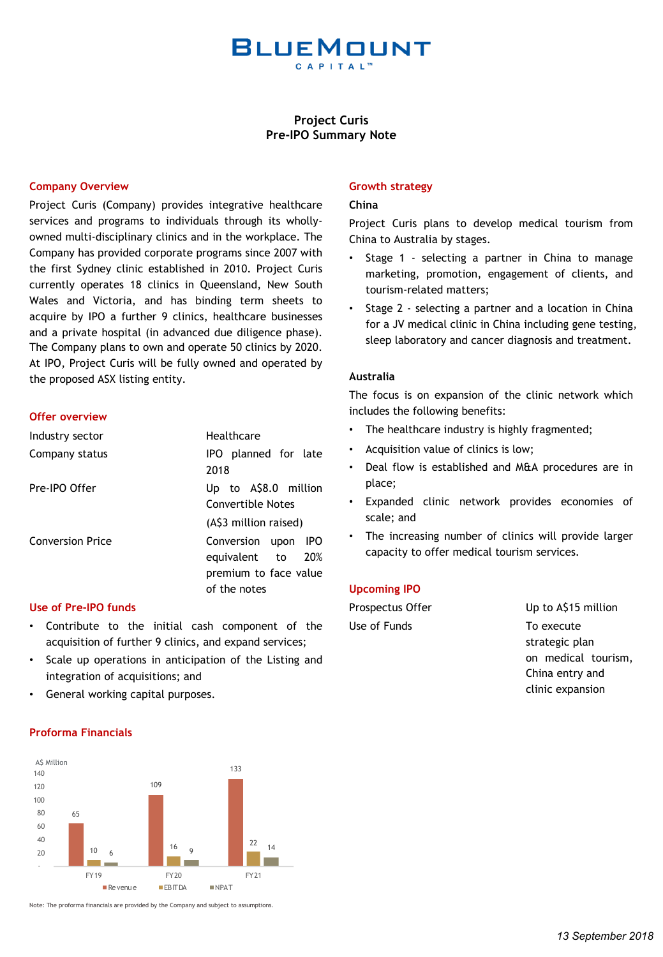

# **Project Curis Pre-IPO Summary Note**

# **Company Overview**

Project Curis (Company) provides integrative healthcare services and programs to individuals through its whollyowned multi-disciplinary clinics and in the workplace. The Company has provided corporate programs since 2007 with the first Sydney clinic established in 2010. Project Curis currently operates 18 clinics in Queensland, New South Wales and Victoria, and has binding term sheets to acquire by IPO a further 9 clinics, healthcare businesses and a private hospital (in advanced due diligence phase). The Company plans to own and operate 50 clinics by 2020. At IPO, Project Curis will be fully owned and operated by the proposed ASX listing entity.

#### **Offer overview**

| Industry sector  | Healthcare                                                                           |
|------------------|--------------------------------------------------------------------------------------|
| Company status   | IPO planned for late<br>2018                                                         |
| Pre-IPO Offer    | Up to A\$8.0 million<br>Convertible Notes<br>(A\$3 million raised)                   |
| Conversion Price | Conversion upon IPO<br>equivalent to<br>20%<br>premium to face value<br>of the notes |

# **Use of Pre-IPO funds**

- Contribute to the initial cash component of the acquisition of further 9 clinics, and expand services;
- Scale up operations in anticipation of the Listing and integration of acquisitions; and
- General working capital purposes.

# **Proforma Financials**



Note: The proforma financials are provided by the Company and subject to assumptions.

# **Growth strategy**

### **China**

Project Curis plans to develop medical tourism from China to Australia by stages.

- Stage 1 selecting a partner in China to manage marketing, promotion, engagement of clients, and tourism-related matters;
- Stage 2 selecting a partner and a location in China for a JV medical clinic in China including gene testing, sleep laboratory and cancer diagnosis and treatment.

# **Australia**

The focus is on expansion of the clinic network which includes the following benefits:

- The healthcare industry is highly fragmented;
- Acquisition value of clinics is low;
- Deal flow is established and M&A procedures are in place;
- Expanded clinic network provides economies of scale; and
- The increasing number of clinics will provide larger capacity to offer medical tourism services.

### **Upcoming IPO**

| Up to A\$15 million |
|---------------------|
| To execute          |
| strategic plan      |
|                     |

on medical tourism, China entry and clinic expansion